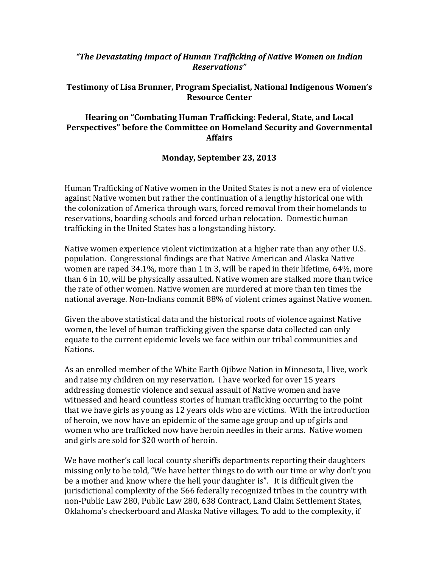## *"The Devastating Impact of Human Trafficking of Native Women on Indian Reservations"*

## **Testimony of Lisa Brunner, Program Specialist, National Indigenous Women's Resource Center**

## **Hearing on "Combating Human Trafficking: Federal, State, and Local Perspectives" before the Committee on Homeland Security and Governmental Affairs**

## **Monday, September 23, 2013**

Human Trafficking of Native women in the United States is not a new era of violence against Native women but rather the continuation of a lengthy historical one with the colonization of America through wars, forced removal from their homelands to reservations, boarding schools and forced urban relocation. Domestic human trafficking in the United States has a longstanding history.

Native women experience violent victimization at a higher rate than any other U.S. population. Congressional findings are that Native American and Alaska Native women are raped 34.1%, more than 1 in 3, will be raped in their lifetime, 64%, more than 6 in 10, will be physically assaulted. Native women are stalked more than twice the rate of other women. Native women are murdered at more than ten times the national average. Non-Indians commit 88% of violent crimes against Native women.

Given the above statistical data and the historical roots of violence against Native women, the level of human trafficking given the sparse data collected can only equate to the current epidemic levels we face within our tribal communities and Nations.

As an enrolled member of the White Earth Ojibwe Nation in Minnesota, I live, work and raise my children on my reservation. I have worked for over 15 years addressing domestic violence and sexual assault of Native women and have witnessed and heard countless stories of human trafficking occurring to the point that we have girls as young as 12 years olds who are victims. With the introduction of heroin, we now have an epidemic of the same age group and up of girls and women who are trafficked now have heroin needles in their arms. Native women and girls are sold for \$20 worth of heroin.

We have mother's call local county sheriffs departments reporting their daughters missing only to be told, "We have better things to do with our time or why don't you be a mother and know where the hell your daughter is". It is difficult given the jurisdictional complexity of the 566 federally recognized tribes in the country with non-Public Law 280, Public Law 280, 638 Contract, Land Claim Settlement States, Oklahoma's checkerboard and Alaska Native villages. To add to the complexity, if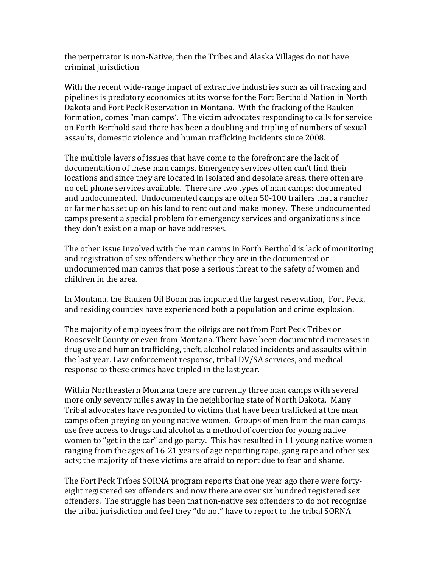the perpetrator is non-Native, then the Tribes and Alaska Villages do not have criminal jurisdiction

With the recent wide-range impact of extractive industries such as oil fracking and pipelines is predatory economics at its worse for the Fort Berthold Nation in North Dakota and Fort Peck Reservation in Montana. With the fracking of the Bauken formation, comes "man camps'. The victim advocates responding to calls for service on Forth Berthold said there has been a doubling and tripling of numbers of sexual assaults, domestic violence and human trafficking incidents since 2008.

The multiple layers of issues that have come to the forefront are the lack of documentation of these man camps. Emergency services often can't find their locations and since they are located in isolated and desolate areas, there often are no cell phone services available. There are two types of man camps: documented and undocumented. Undocumented camps are often 50-100 trailers that a rancher or farmer has set up on his land to rent out and make money. These undocumented camps present a special problem for emergency services and organizations since they don't exist on a map or have addresses.

The other issue involved with the man camps in Forth Berthold is lack of monitoring and registration of sex offenders whether they are in the documented or undocumented man camps that pose a serious threat to the safety of women and children in the area.

In Montana, the Bauken Oil Boom has impacted the largest reservation, Fort Peck, and residing counties have experienced both a population and crime explosion.

The majority of employees from the oilrigs are not from Fort Peck Tribes or Roosevelt County or even from Montana. There have been documented increases in drug use and human trafficking, theft, alcohol related incidents and assaults within the last year. Law enforcement response, tribal DV/SA services, and medical response to these crimes have tripled in the last year.

Within Northeastern Montana there are currently three man camps with several more only seventy miles away in the neighboring state of North Dakota. Many Tribal advocates have responded to victims that have been trafficked at the man camps often preying on young native women. Groups of men from the man camps use free access to drugs and alcohol as a method of coercion for young native women to "get in the car" and go party. This has resulted in 11 young native women ranging from the ages of 16-21 years of age reporting rape, gang rape and other sex acts; the majority of these victims are afraid to report due to fear and shame.

The Fort Peck Tribes SORNA program reports that one year ago there were fortyeight registered sex offenders and now there are over six hundred registered sex offenders. The struggle has been that non-native sex offenders to do not recognize the tribal jurisdiction and feel they "do not" have to report to the tribal SORNA